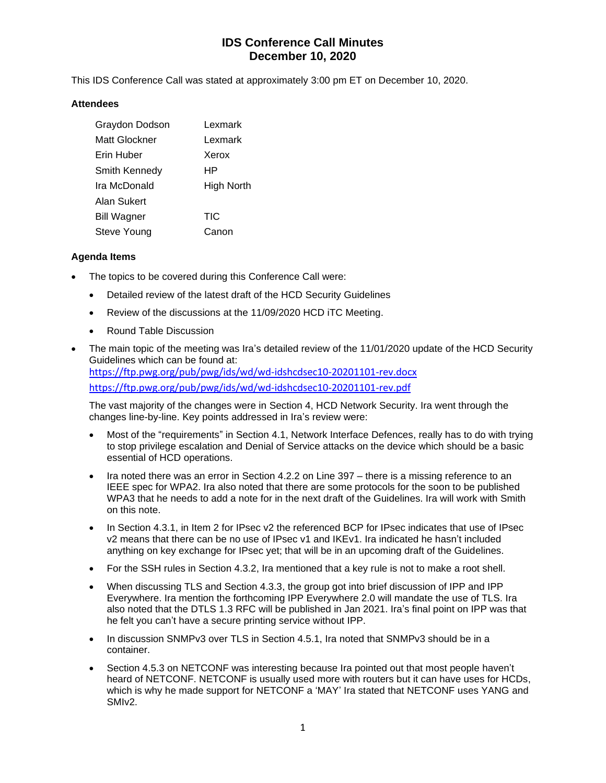# **IDS Conference Call Minutes December 10, 2020**

This IDS Conference Call was stated at approximately 3:00 pm ET on December 10, 2020.

## **Attendees**

| Graydon Dodson     | Lexmark    |
|--------------------|------------|
| Matt Glockner      | Lexmark    |
| Erin Huber         | Xerox      |
| Smith Kennedy      | HР         |
| Ira McDonald       | High North |
| Alan Sukert        |            |
| <b>Bill Wagner</b> | <b>TIC</b> |
| Steve Young        | Canon      |

## **Agenda Items**

- The topics to be covered during this Conference Call were:
	- Detailed review of the latest draft of the HCD Security Guidelines
	- Review of the discussions at the 11/09/2020 HCD iTC Meeting.
	- Round Table Discussion
- The main topic of the meeting was Ira's detailed review of the 11/01/2020 update of the HCD Security Guidelines which can be found at: <https://ftp.pwg.org/pub/pwg/ids/wd/wd-idshcdsec10-20201101-rev.docx> <https://ftp.pwg.org/pub/pwg/ids/wd/wd-idshcdsec10-20201101-rev.pdf>

The vast majority of the changes were in Section 4, HCD Network Security. Ira went through the changes line-by-line. Key points addressed in Ira's review were:

- Most of the "requirements" in Section 4.1, Network Interface Defences, really has to do with trying to stop privilege escalation and Denial of Service attacks on the device which should be a basic essential of HCD operations.
- Ira noted there was an error in Section 4.2.2 on Line 397 there is a missing reference to an IEEE spec for WPA2. Ira also noted that there are some protocols for the soon to be published WPA3 that he needs to add a note for in the next draft of the Guidelines. Ira will work with Smith on this note.
- In Section 4.3.1, in Item 2 for IPsec v2 the referenced BCP for IPsec indicates that use of IPsec v2 means that there can be no use of IPsec v1 and IKEv1. Ira indicated he hasn't included anything on key exchange for IPsec yet; that will be in an upcoming draft of the Guidelines.
- For the SSH rules in Section 4.3.2, Ira mentioned that a key rule is not to make a root shell.
- When discussing TLS and Section 4.3.3, the group got into brief discussion of IPP and IPP Everywhere. Ira mention the forthcoming IPP Everywhere 2.0 will mandate the use of TLS. Ira also noted that the DTLS 1.3 RFC will be published in Jan 2021. Ira's final point on IPP was that he felt you can't have a secure printing service without IPP.
- In discussion SNMPv3 over TLS in Section 4.5.1, Ira noted that SNMPv3 should be in a container.
- Section 4.5.3 on NETCONF was interesting because Ira pointed out that most people haven't heard of NETCONF. NETCONF is usually used more with routers but it can have uses for HCDs, which is why he made support for NETCONF a 'MAY' Ira stated that NETCONF uses YANG and SMIv2.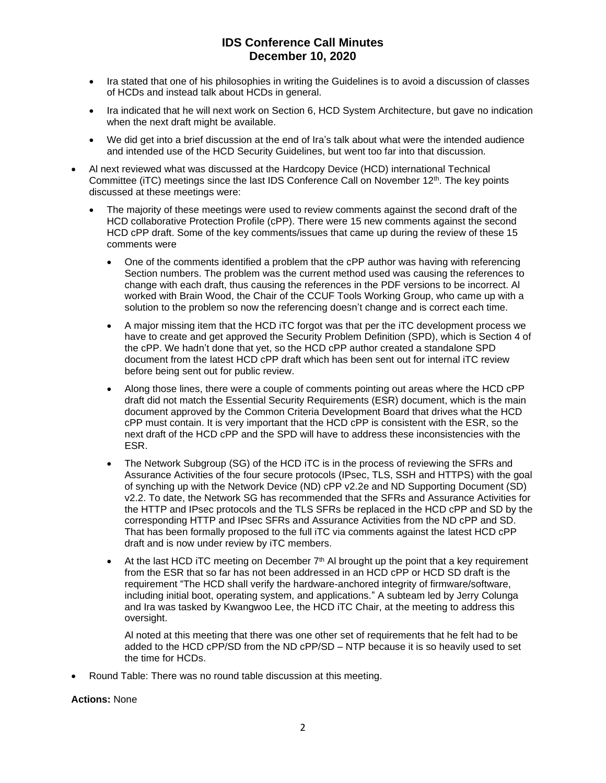## **IDS Conference Call Minutes December 10, 2020**

- Ira stated that one of his philosophies in writing the Guidelines is to avoid a discussion of classes of HCDs and instead talk about HCDs in general.
- Ira indicated that he will next work on Section 6, HCD System Architecture, but gave no indication when the next draft might be available.
- We did get into a brief discussion at the end of Ira's talk about what were the intended audience and intended use of the HCD Security Guidelines, but went too far into that discussion.
- Al next reviewed what was discussed at the Hardcopy Device (HCD) international Technical Committee (iTC) meetings since the last IDS Conference Call on November  $12<sup>th</sup>$ . The key points discussed at these meetings were:
	- The majority of these meetings were used to review comments against the second draft of the HCD collaborative Protection Profile (cPP). There were 15 new comments against the second HCD cPP draft. Some of the key comments/issues that came up during the review of these 15 comments were
		- One of the comments identified a problem that the cPP author was having with referencing Section numbers. The problem was the current method used was causing the references to change with each draft, thus causing the references in the PDF versions to be incorrect. Al worked with Brain Wood, the Chair of the CCUF Tools Working Group, who came up with a solution to the problem so now the referencing doesn't change and is correct each time.
		- A major missing item that the HCD iTC forgot was that per the iTC development process we have to create and get approved the Security Problem Definition (SPD), which is Section 4 of the cPP. We hadn't done that yet, so the HCD cPP author created a standalone SPD document from the latest HCD cPP draft which has been sent out for internal iTC review before being sent out for public review.
		- Along those lines, there were a couple of comments pointing out areas where the HCD cPP draft did not match the Essential Security Requirements (ESR) document, which is the main document approved by the Common Criteria Development Board that drives what the HCD cPP must contain. It is very important that the HCD cPP is consistent with the ESR, so the next draft of the HCD cPP and the SPD will have to address these inconsistencies with the ESR.
		- The Network Subgroup (SG) of the HCD iTC is in the process of reviewing the SFRs and Assurance Activities of the four secure protocols (IPsec, TLS, SSH and HTTPS) with the goal of synching up with the Network Device (ND) cPP v2.2e and ND Supporting Document (SD) v2.2. To date, the Network SG has recommended that the SFRs and Assurance Activities for the HTTP and IPsec protocols and the TLS SFRs be replaced in the HCD cPP and SD by the corresponding HTTP and IPsec SFRs and Assurance Activities from the ND cPP and SD. That has been formally proposed to the full iTC via comments against the latest HCD cPP draft and is now under review by iTC members.
		- At the last HCD iTC meeting on December  $7<sup>th</sup>$  Al brought up the point that a key requirement from the ESR that so far has not been addressed in an HCD cPP or HCD SD draft is the requirement "The HCD shall verify the hardware-anchored integrity of firmware/software, including initial boot, operating system, and applications." A subteam led by Jerry Colunga and Ira was tasked by Kwangwoo Lee, the HCD iTC Chair, at the meeting to address this oversight.

Al noted at this meeting that there was one other set of requirements that he felt had to be added to the HCD cPP/SD from the ND cPP/SD – NTP because it is so heavily used to set the time for HCDs.

• Round Table: There was no round table discussion at this meeting.

#### **Actions:** None